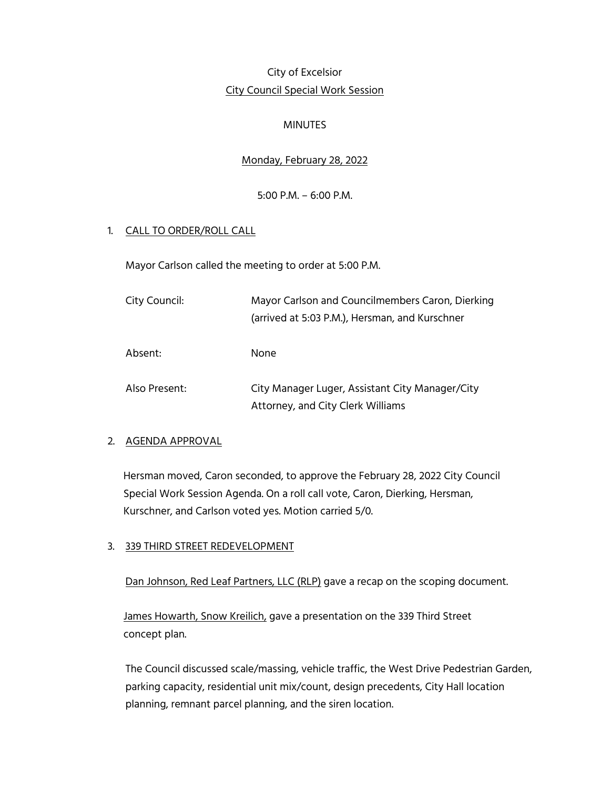# City of Excelsior City Council Special Work Session

#### MINUTES

# Monday, February 28, 2022

## 5:00 P.M. – 6:00 P.M.

## 1. CALL TO ORDER/ROLL CALL

Mayor Carlson called the meeting to order at 5:00 P.M.

| City Council: | Mayor Carlson and Councilmembers Caron, Dierking<br>(arrived at 5:03 P.M.), Hersman, and Kurschner |
|---------------|----------------------------------------------------------------------------------------------------|
| Absent:       | None.                                                                                              |
| Also Present: | City Manager Luger, Assistant City Manager/City<br>Attorney, and City Clerk Williams               |

#### 2. AGENDA APPROVAL

 Hersman moved, Caron seconded, to approve the February 28, 2022 City Council Special Work Session Agenda. On a roll call vote, Caron, Dierking, Hersman, Kurschner, and Carlson voted yes. Motion carried 5/0.

#### 3. 339 THIRD STREET REDEVELOPMENT

Dan Johnson, Red Leaf Partners, LLC (RLP) gave a recap on the scoping document.

 James Howarth, Snow Kreilich, gave a presentation on the 339 Third Street concept plan.

The Council discussed scale/massing, vehicle traffic, the West Drive Pedestrian Garden, parking capacity, residential unit mix/count, design precedents, City Hall location planning, remnant parcel planning, and the siren location.